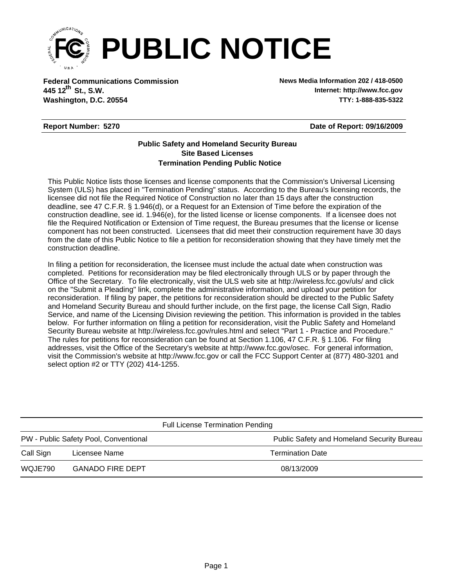

**Federal Communications Commission News Media Information 202 / 418-0500 Washington, D.C. 20554 TTY: 1-888-835-5322 445 12<sup>th</sup> St., S.W.** 

**Internet: http://www.fcc.gov**

## **Report Number: 5270**

**Date of Report: 09/16/2009**

## **Termination Pending Public Notice Site Based Licenses Public Safety and Homeland Security Bureau**

This Public Notice lists those licenses and license components that the Commission's Universal Licensing System (ULS) has placed in "Termination Pending" status. According to the Bureau's licensing records, the licensee did not file the Required Notice of Construction no later than 15 days after the construction deadline, see 47 C.F.R. § 1.946(d), or a Request for an Extension of Time before the expiration of the construction deadline, see id. 1.946(e), for the listed license or license components. If a licensee does not file the Required Notification or Extension of Time request, the Bureau presumes that the license or license component has not been constructed. Licensees that did meet their construction requirement have 30 days from the date of this Public Notice to file a petition for reconsideration showing that they have timely met the construction deadline.

In filing a petition for reconsideration, the licensee must include the actual date when construction was completed. Petitions for reconsideration may be filed electronically through ULS or by paper through the Office of the Secretary. To file electronically, visit the ULS web site at http://wireless.fcc.gov/uls/ and click on the "Submit a Pleading" link, complete the administrative information, and upload your petition for reconsideration. If filing by paper, the petitions for reconsideration should be directed to the Public Safety and Homeland Security Bureau and should further include, on the first page, the license Call Sign, Radio Service, and name of the Licensing Division reviewing the petition. This information is provided in the tables below. For further information on filing a petition for reconsideration, visit the Public Safety and Homeland Security Bureau website at http://wireless.fcc.gov/rules.html and select "Part 1 - Practice and Procedure." The rules for petitions for reconsideration can be found at Section 1.106, 47 C.F.R. § 1.106. For filing addresses, visit the Office of the Secretary's website at http://www.fcc.gov/osec. For general information, visit the Commission's website at http://www.fcc.gov or call the FCC Support Center at (877) 480-3201 and select option #2 or TTY (202) 414-1255.

| <b>Full License Termination Pending</b> |                         |                                            |  |  |  |
|-----------------------------------------|-------------------------|--------------------------------------------|--|--|--|
| PW - Public Safety Pool, Conventional   |                         | Public Safety and Homeland Security Bureau |  |  |  |
| Call Sign                               | Licensee Name           | <b>Termination Date</b>                    |  |  |  |
| WQJE790                                 | <b>GANADO FIRE DEPT</b> | 08/13/2009                                 |  |  |  |